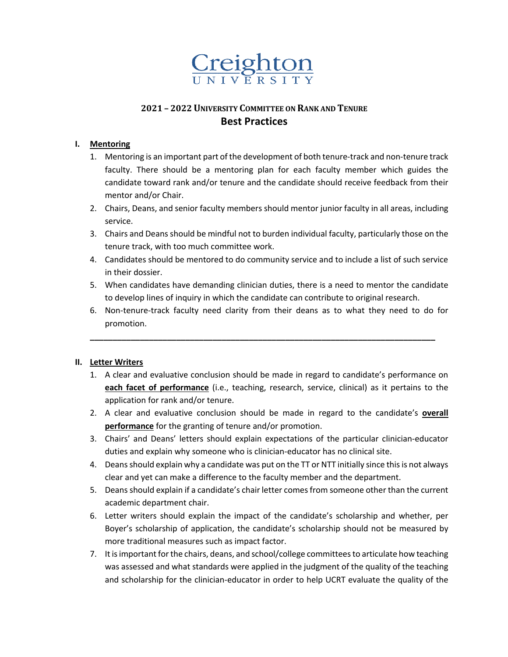

# **2021 – 2022UNIVERSITY COMMITTEE ON RANK AND TENURE Best Practices**

### **I. Mentoring**

- 1. Mentoring is an important part of the development of both tenure-track and non-tenure track faculty. There should be a mentoring plan for each faculty member which guides the candidate toward rank and/or tenure and the candidate should receive feedback from their mentor and/or Chair.
- 2. Chairs, Deans, and senior faculty members should mentor junior faculty in all areas, including service.
- 3. Chairs and Deans should be mindful not to burden individual faculty, particularly those on the tenure track, with too much committee work.
- 4. Candidates should be mentored to do community service and to include a list of such service in their dossier.
- 5. When candidates have demanding clinician duties, there is a need to mentor the candidate to develop lines of inquiry in which the candidate can contribute to original research.
- 6. Non-tenure-track faculty need clarity from their deans as to what they need to do for promotion.

**\_\_\_\_\_\_\_\_\_\_\_\_\_\_\_\_\_\_\_\_\_\_\_\_\_\_\_\_\_\_\_\_\_\_\_\_\_\_\_\_\_\_\_\_\_\_\_\_\_\_\_\_\_\_\_\_\_\_\_\_\_\_\_\_\_\_\_\_\_\_\_\_\_\_\_\_**

#### **II. Letter Writers**

- 1. A clear and evaluative conclusion should be made in regard to candidate's performance on **each facet of performance** (i.e., teaching, research, service, clinical) as it pertains to the application for rank and/or tenure.
- 2. A clear and evaluative conclusion should be made in regard to the candidate's **overall performance** for the granting of tenure and/or promotion.
- 3. Chairs' and Deans' letters should explain expectations of the particular clinician-educator duties and explain why someone who is clinician-educator has no clinical site.
- 4. Deans should explain why a candidate was put on the TT or NTT initially since this is not always clear and yet can make a difference to the faculty member and the department.
- 5. Deans should explain if a candidate's chair letter comes from someone other than the current academic department chair.
- 6. Letter writers should explain the impact of the candidate's scholarship and whether, per Boyer's scholarship of application, the candidate's scholarship should not be measured by more traditional measures such as impact factor.
- 7. It is important for the chairs, deans, and school/college committees to articulate how teaching was assessed and what standards were applied in the judgment of the quality of the teaching and scholarship for the clinician-educator in order to help UCRT evaluate the quality of the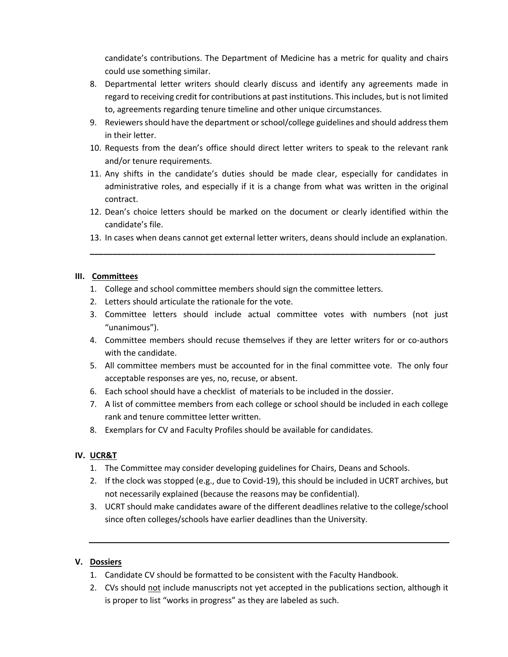candidate's contributions. The Department of Medicine has a metric for quality and chairs could use something similar.

- 8. Departmental letter writers should clearly discuss and identify any agreements made in regard to receiving credit for contributions at past institutions. This includes, but is not limited to, agreements regarding tenure timeline and other unique circumstances.
- 9. Reviewers should have the department or school/college guidelines and should address them in their letter.
- 10. Requests from the dean's office should direct letter writers to speak to the relevant rank and/or tenure requirements.
- 11. Any shifts in the candidate's duties should be made clear, especially for candidates in administrative roles, and especially if it is a change from what was written in the original contract.
- 12. Dean's choice letters should be marked on the document or clearly identified within the candidate's file.
- 13. In cases when deans cannot get external letter writers, deans should include an explanation.

**\_\_\_\_\_\_\_\_\_\_\_\_\_\_\_\_\_\_\_\_\_\_\_\_\_\_\_\_\_\_\_\_\_\_\_\_\_\_\_\_\_\_\_\_\_\_\_\_\_\_\_\_\_\_\_\_\_\_\_\_\_\_\_\_\_\_\_\_\_\_\_\_\_\_\_\_**

### **III. Committees**

- 1. College and school committee members should sign the committee letters.
- 2. Letters should articulate the rationale for the vote.
- 3. Committee letters should include actual committee votes with numbers (not just "unanimous").
- 4. Committee members should recuse themselves if they are letter writers for or co-authors with the candidate.
- 5. All committee members must be accounted for in the final committee vote. The only four acceptable responses are yes, no, recuse, or absent.
- 6. Each school should have a checklist of materials to be included in the dossier.
- 7. A list of committee members from each college or school should be included in each college rank and tenure committee letter written.
- 8. Exemplars for CV and Faculty Profiles should be available for candidates.

## **IV. UCR&T**

- 1. The Committee may consider developing guidelines for Chairs, Deans and Schools.
- 2. If the clock was stopped (e.g., due to Covid-19), this should be included in UCRT archives, but not necessarily explained (because the reasons may be confidential).
- 3. UCRT should make candidates aware of the different deadlines relative to the college/school since often colleges/schools have earlier deadlines than the University.

## **V. Dossiers**

- 1. Candidate CV should be formatted to be consistent with the Faculty Handbook.
- 2. CVs should not include manuscripts not yet accepted in the publications section, although it is proper to list "works in progress" as they are labeled as such.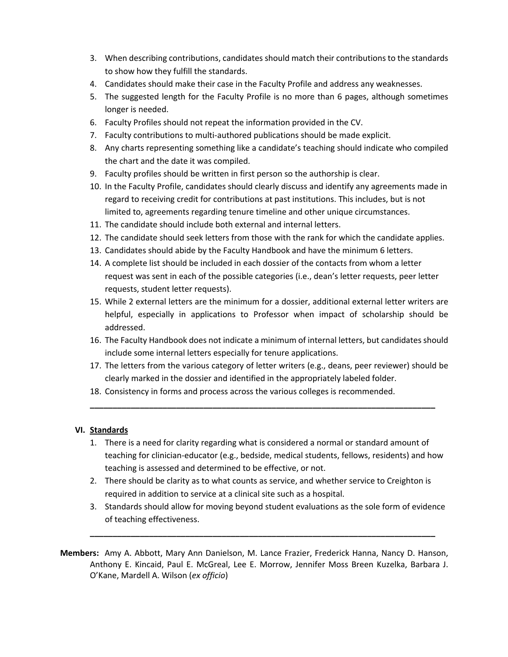- 3. When describing contributions, candidates should match their contributions to the standards to show how they fulfill the standards.
- 4. Candidates should make their case in the Faculty Profile and address any weaknesses.
- 5. The suggested length for the Faculty Profile is no more than 6 pages, although sometimes longer is needed.
- 6. Faculty Profiles should not repeat the information provided in the CV.
- 7. Faculty contributions to multi-authored publications should be made explicit.
- 8. Any charts representing something like a candidate's teaching should indicate who compiled the chart and the date it was compiled.
- 9. Faculty profiles should be written in first person so the authorship is clear.
- 10. In the Faculty Profile, candidates should clearly discuss and identify any agreements made in regard to receiving credit for contributions at past institutions. This includes, but is not limited to, agreements regarding tenure timeline and other unique circumstances.
- 11. The candidate should include both external and internal letters.
- 12. The candidate should seek letters from those with the rank for which the candidate applies.
- 13. Candidates should abide by the Faculty Handbook and have the minimum 6 letters.
- 14. A complete list should be included in each dossier of the contacts from whom a letter request was sent in each of the possible categories (i.e., dean's letter requests, peer letter requests, student letter requests).
- 15. While 2 external letters are the minimum for a dossier, additional external letter writers are helpful, especially in applications to Professor when impact of scholarship should be addressed.
- 16. The Faculty Handbook does not indicate a minimum of internal letters, but candidates should include some internal letters especially for tenure applications.
- 17. The letters from the various category of letter writers (e.g., deans, peer reviewer) should be clearly marked in the dossier and identified in the appropriately labeled folder.

**\_\_\_\_\_\_\_\_\_\_\_\_\_\_\_\_\_\_\_\_\_\_\_\_\_\_\_\_\_\_\_\_\_\_\_\_\_\_\_\_\_\_\_\_\_\_\_\_\_\_\_\_\_\_\_\_\_\_\_\_\_\_\_\_\_\_\_\_\_\_\_\_\_\_\_\_**

18. Consistency in forms and process across the various colleges is recommended.

## **VI. Standards**

- 1. There is a need for clarity regarding what is considered a normal or standard amount of teaching for clinician-educator (e.g., bedside, medical students, fellows, residents) and how teaching is assessed and determined to be effective, or not.
- 2. There should be clarity as to what counts as service, and whether service to Creighton is required in addition to service at a clinical site such as a hospital.
- 3. Standards should allow for moving beyond student evaluations as the sole form of evidence of teaching effectiveness.

**\_\_\_\_\_\_\_\_\_\_\_\_\_\_\_\_\_\_\_\_\_\_\_\_\_\_\_\_\_\_\_\_\_\_\_\_\_\_\_\_\_\_\_\_\_\_\_\_\_\_\_\_\_\_\_\_\_\_\_\_\_\_\_\_\_\_\_\_\_\_\_\_\_\_\_\_**

**Members:** Amy A. Abbott, Mary Ann Danielson, M. Lance Frazier, Frederick Hanna, Nancy D. Hanson, Anthony E. Kincaid, Paul E. McGreal, Lee E. Morrow, Jennifer Moss Breen Kuzelka, Barbara J. O'Kane, Mardell A. Wilson (*ex officio*)